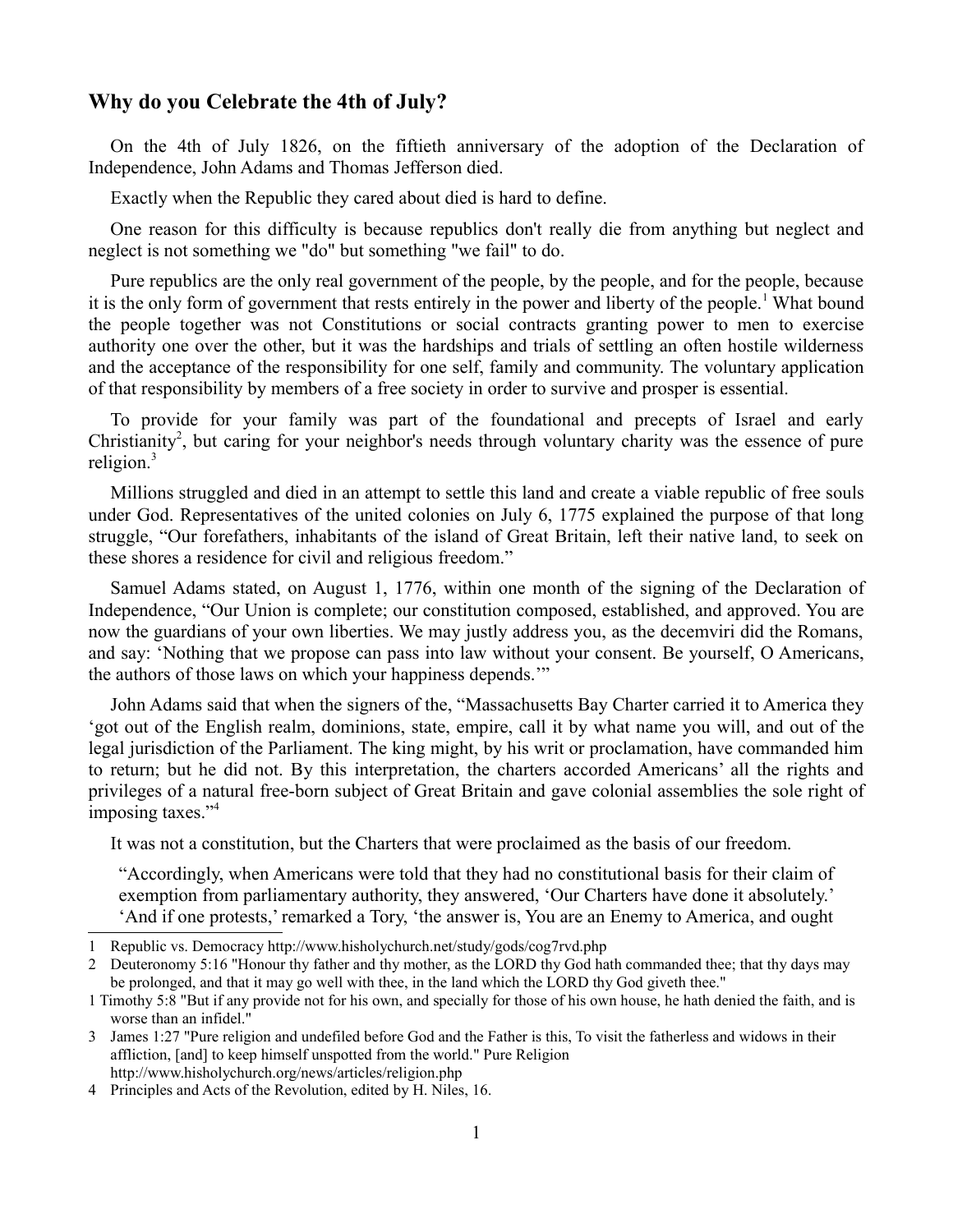## **Why do you Celebrate the 4th of July?**

On the 4th of July 1826, on the fiftieth anniversary of the adoption of the Declaration of Independence, John Adams and Thomas Jefferson died.

Exactly when the Republic they cared about died is hard to define.

One reason for this difficulty is because republics don't really die from anything but neglect and neglect is not something we "do" but something "we fail" to do.

Pure republics are the only real government of the people, by the people, and for the people, because it is the only form of government that rests entirely in the power and liberty of the people.<sup>[1](#page-0-0)</sup> What bound the people together was not Constitutions or social contracts granting power to men to exercise authority one over the other, but it was the hardships and trials of settling an often hostile wilderness and the acceptance of the responsibility for one self, family and community. The voluntary application of that responsibility by members of a free society in order to survive and prosper is essential.

To provide for your family was part of the foundational and precepts of Israel and early Christianity<sup>[2](#page-0-1)</sup>, but caring for your neighbor's needs through voluntary charity was the essence of pure religion. $3$ 

Millions struggled and died in an attempt to settle this land and create a viable republic of free souls under God. Representatives of the united colonies on July 6, 1775 explained the purpose of that long struggle, "Our forefathers, inhabitants of the island of Great Britain, left their native land, to seek on these shores a residence for civil and religious freedom."

Samuel Adams stated, on August 1, 1776, within one month of the signing of the Declaration of Independence, "Our Union is complete; our constitution composed, established, and approved. You are now the guardians of your own liberties. We may justly address you, as the decemviri did the Romans, and say: 'Nothing that we propose can pass into law without your consent. Be yourself, O Americans, the authors of those laws on which your happiness depends.'"

John Adams said that when the signers of the, "Massachusetts Bay Charter carried it to America they 'got out of the English realm, dominions, state, empire, call it by what name you will, and out of the legal jurisdiction of the Parliament. The king might, by his writ or proclamation, have commanded him to return; but he did not. By this interpretation, the charters accorded Americans' all the rights and privileges of a natural free-born subject of Great Britain and gave colonial assemblies the sole right of imposing taxes."[4](#page-0-3)

It was not a constitution, but the Charters that were proclaimed as the basis of our freedom.

"Accordingly, when Americans were told that they had no constitutional basis for their claim of exemption from parliamentary authority, they answered, 'Our Charters have done it absolutely.' 'And if one protests,' remarked a Tory, 'the answer is, You are an Enemy to America, and ought

<span id="page-0-0"></span><sup>1</sup> Republic vs. Democracy http://www.hisholychurch.net/study/gods/cog7rvd.php

<span id="page-0-1"></span><sup>2</sup> Deuteronomy 5:16 "Honour thy father and thy mother, as the LORD thy God hath commanded thee; that thy days may be prolonged, and that it may go well with thee, in the land which the LORD thy God giveth thee."

<sup>1</sup> Timothy 5:8 "But if any provide not for his own, and specially for those of his own house, he hath denied the faith, and is worse than an infidel."

<span id="page-0-2"></span><sup>3</sup> James 1:27 "Pure religion and undefiled before God and the Father is this, To visit the fatherless and widows in their affliction, [and] to keep himself unspotted from the world." Pure Religion http://www.hisholychurch.org/news/articles/religion.php

<span id="page-0-3"></span><sup>4</sup> Principles and Acts of the Revolution, edited by H. Niles, 16.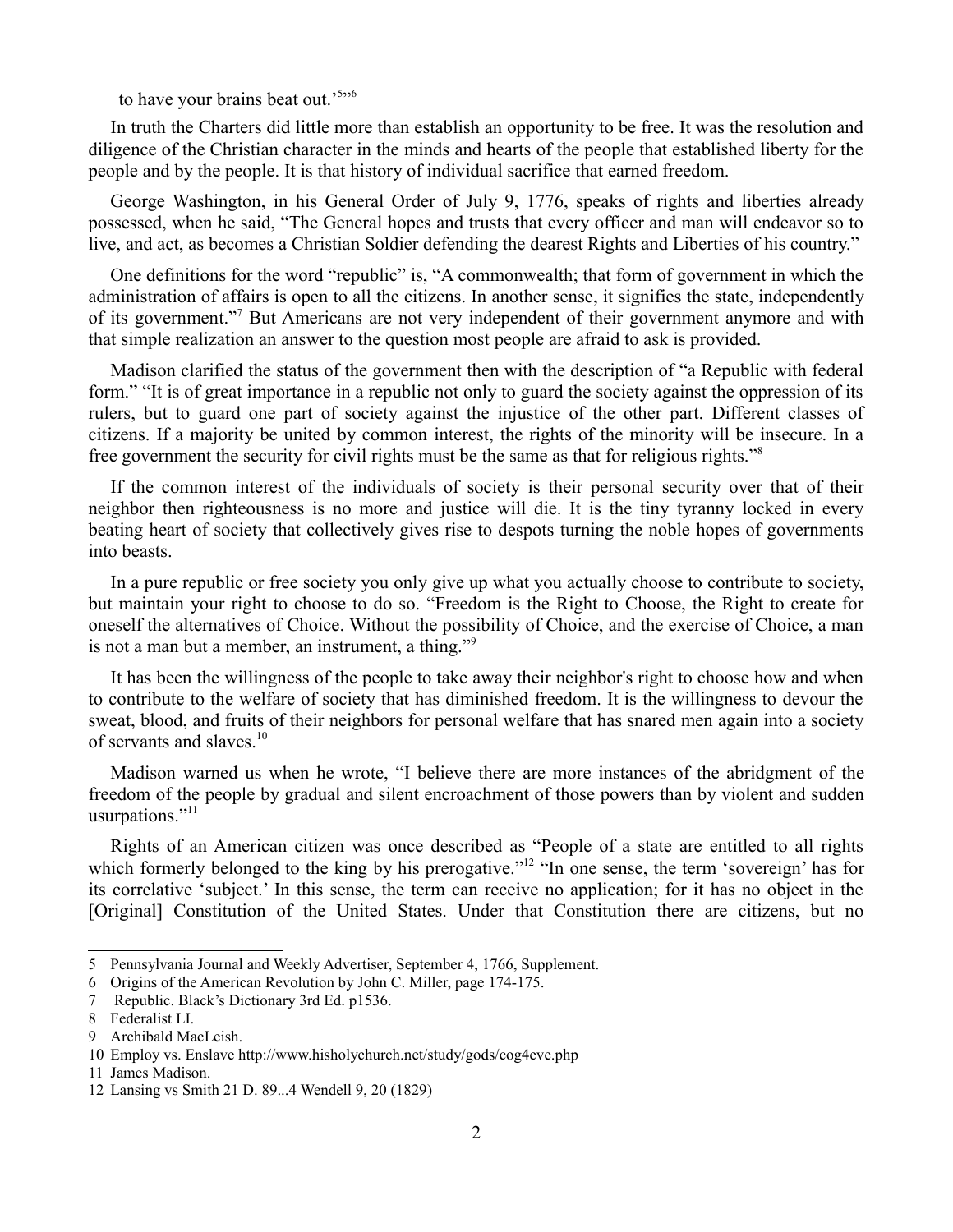to have your brains beat out.'<sup>[5](#page-1-0)</sup>"

In truth the Charters did little more than establish an opportunity to be free. It was the resolution and diligence of the Christian character in the minds and hearts of the people that established liberty for the people and by the people. It is that history of individual sacrifice that earned freedom.

George Washington, in his General Order of July 9, 1776, speaks of rights and liberties already possessed, when he said, "The General hopes and trusts that every officer and man will endeavor so to live, and act, as becomes a Christian Soldier defending the dearest Rights and Liberties of his country."

One definitions for the word "republic" is, "A commonwealth; that form of government in which the administration of affairs is open to all the citizens. In another sense, it signifies the state, independently of its government."<sup>[7](#page-1-2)</sup> But Americans are not very independent of their government anymore and with that simple realization an answer to the question most people are afraid to ask is provided.

Madison clarified the status of the government then with the description of "a Republic with federal form." "It is of great importance in a republic not only to guard the society against the oppression of its rulers, but to guard one part of society against the injustice of the other part. Different classes of citizens. If a majority be united by common interest, the rights of the minority will be insecure. In a free government the security for civil rights must be the same as that for religious rights."[8](#page-1-3)

If the common interest of the individuals of society is their personal security over that of their neighbor then righteousness is no more and justice will die. It is the tiny tyranny locked in every beating heart of society that collectively gives rise to despots turning the noble hopes of governments into beasts.

In a pure republic or free society you only give up what you actually choose to contribute to society, but maintain your right to choose to do so. "Freedom is the Right to Choose, the Right to create for oneself the alternatives of Choice. Without the possibility of Choice, and the exercise of Choice, a man is not a man but a member, an instrument, a thing."<sup>[9](#page-1-4)</sup>

It has been the willingness of the people to take away their neighbor's right to choose how and when to contribute to the welfare of society that has diminished freedom. It is the willingness to devour the sweat, blood, and fruits of their neighbors for personal welfare that has snared men again into a society of servants and slaves.<sup>[10](#page-1-5)</sup>

Madison warned us when he wrote, "I believe there are more instances of the abridgment of the freedom of the people by gradual and silent encroachment of those powers than by violent and sudden usurpations."<sup>[11](#page-1-6)</sup>

Rights of an American citizen was once described as "People of a state are entitled to all rights which formerly belonged to the king by his prerogative."<sup>[12](#page-1-7)</sup> "In one sense, the term 'sovereign' has for its correlative 'subject.' In this sense, the term can receive no application; for it has no object in the [Original] Constitution of the United States. Under that Constitution there are citizens, but no

<span id="page-1-0"></span><sup>5</sup> Pennsylvania Journal and Weekly Advertiser, September 4, 1766, Supplement.

<span id="page-1-1"></span><sup>6</sup> Origins of the American Revolution by John C. Miller, page 174-175.

<span id="page-1-2"></span><sup>7</sup> Republic. Black's Dictionary 3rd Ed. p1536.

<span id="page-1-3"></span><sup>8</sup> Federalist LI.

<span id="page-1-4"></span><sup>9</sup> Archibald MacLeish.

<span id="page-1-5"></span><sup>10</sup> Employ vs. Enslave http://www.hisholychurch.net/study/gods/cog4eve.php

<span id="page-1-6"></span><sup>11</sup> James Madison.

<span id="page-1-7"></span><sup>12</sup> Lansing vs Smith 21 D. 89...4 Wendell 9, 20 (1829)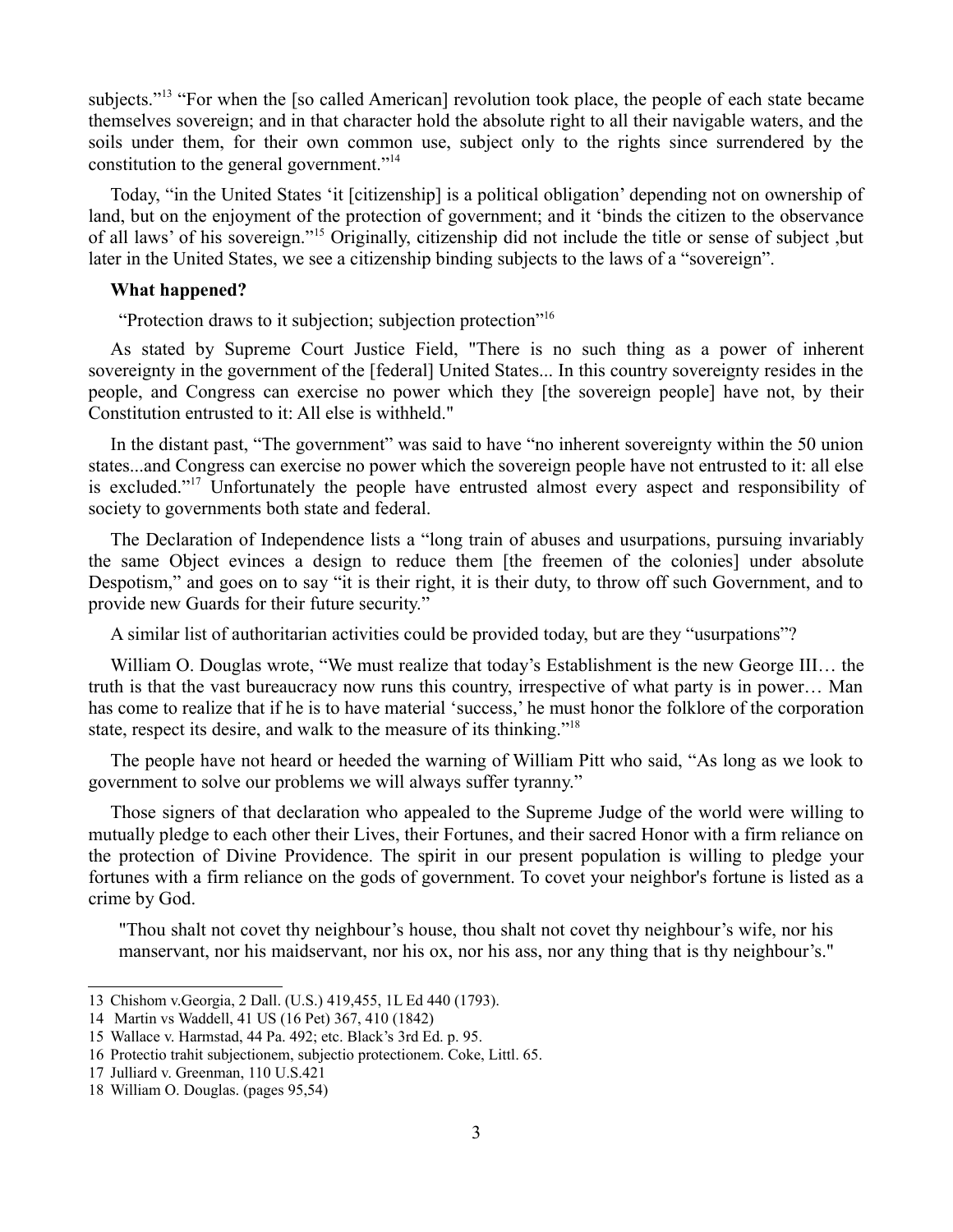subjects."<sup>[13](#page-2-0)</sup> "For when the [so called American] revolution took place, the people of each state became themselves sovereign; and in that character hold the absolute right to all their navigable waters, and the soils under them, for their own common use, subject only to the rights since surrendered by the constitution to the general government."[14](#page-2-1)

Today, "in the United States 'it [citizenship] is a political obligation' depending not on ownership of land, but on the enjoyment of the protection of government; and it 'binds the citizen to the observance of all laws' of his sovereign."[15](#page-2-2) Originally, citizenship did not include the title or sense of subject ,but later in the United States, we see a citizenship binding subjects to the laws of a "sovereign".

## **What happened?**

"Protection draws to it subjection; subjection protection"[16](#page-2-3)

As stated by Supreme Court Justice Field, "There is no such thing as a power of inherent sovereignty in the government of the [federal] United States... In this country sovereignty resides in the people, and Congress can exercise no power which they [the sovereign people] have not, by their Constitution entrusted to it: All else is withheld."

In the distant past, "The government" was said to have "no inherent sovereignty within the 50 union states...and Congress can exercise no power which the sovereign people have not entrusted to it: all else is excluded."<sup>[17](#page-2-4)</sup> Unfortunately the people have entrusted almost every aspect and responsibility of society to governments both state and federal.

The Declaration of Independence lists a "long train of abuses and usurpations, pursuing invariably the same Object evinces a design to reduce them [the freemen of the colonies] under absolute Despotism," and goes on to say "it is their right, it is their duty, to throw off such Government, and to provide new Guards for their future security."

A similar list of authoritarian activities could be provided today, but are they "usurpations"?

William O. Douglas wrote, "We must realize that today's Establishment is the new George III… the truth is that the vast bureaucracy now runs this country, irrespective of what party is in power… Man has come to realize that if he is to have material 'success,' he must honor the folklore of the corporation state, respect its desire, and walk to the measure of its thinking."[18](#page-2-5)

The people have not heard or heeded the warning of William Pitt who said, "As long as we look to government to solve our problems we will always suffer tyranny."

Those signers of that declaration who appealed to the Supreme Judge of the world were willing to mutually pledge to each other their Lives, their Fortunes, and their sacred Honor with a firm reliance on the protection of Divine Providence. The spirit in our present population is willing to pledge your fortunes with a firm reliance on the gods of government. To covet your neighbor's fortune is listed as a crime by God.

"Thou shalt not covet thy neighbour's house, thou shalt not covet thy neighbour's wife, nor his manservant, nor his maidservant, nor his ox, nor his ass, nor any thing that is thy neighbour's."

<span id="page-2-0"></span><sup>13</sup> Chishom v.Georgia, 2 Dall. (U.S.) 419,455, 1L Ed 440 (1793).

<span id="page-2-1"></span><sup>14</sup> Martin vs Waddell, 41 US (16 Pet) 367, 410 (1842)

<span id="page-2-2"></span><sup>15</sup> Wallace v. Harmstad, 44 Pa. 492; etc. Black's 3rd Ed. p. 95.

<span id="page-2-3"></span><sup>16</sup> Protectio trahit subjectionem, subjectio protectionem. Coke, Littl. 65.

<span id="page-2-4"></span><sup>17</sup> Julliard v. Greenman, 110 U.S.421

<span id="page-2-5"></span><sup>18</sup> William O. Douglas. (pages 95,54)